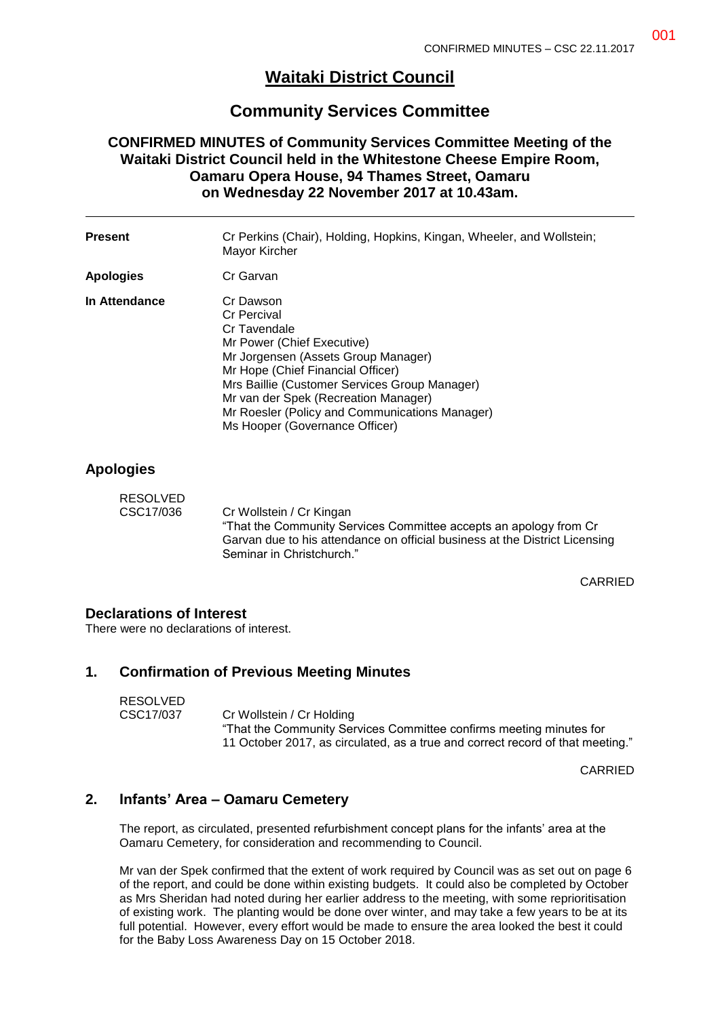# **Waitaki District Council**

## **Community Services Committee**

### **CONFIRMED MINUTES of Community Services Committee Meeting of the Waitaki District Council held in the Whitestone Cheese Empire Room, Oamaru Opera House, 94 Thames Street, Oamaru on Wednesday 22 November 2017 at 10.43am.**

| <b>Present</b>   | Cr Perkins (Chair), Holding, Hopkins, Kingan, Wheeler, and Wollstein;<br>Mayor Kircher                                                                                                                                                                                                                                                 |
|------------------|----------------------------------------------------------------------------------------------------------------------------------------------------------------------------------------------------------------------------------------------------------------------------------------------------------------------------------------|
| <b>Apologies</b> | Cr Garvan                                                                                                                                                                                                                                                                                                                              |
| In Attendance    | Cr Dawson<br><b>Cr Percival</b><br>Cr Tavendale<br>Mr Power (Chief Executive)<br>Mr Jorgensen (Assets Group Manager)<br>Mr Hope (Chief Financial Officer)<br>Mrs Baillie (Customer Services Group Manager)<br>Mr van der Spek (Recreation Manager)<br>Mr Roesler (Policy and Communications Manager)<br>Ms Hooper (Governance Officer) |

### **Apologies**

| RESOLVED  |                                                                             |
|-----------|-----------------------------------------------------------------------------|
| CSC17/036 | Cr Wollstein / Cr Kingan                                                    |
|           | "That the Community Services Committee accepts an apology from Cr           |
|           | Garvan due to his attendance on official business at the District Licensing |
|           | Seminar in Christchurch."                                                   |

CARRIED

#### **Declarations of Interest**

There were no declarations of interest.

### **1. Confirmation of Previous Meeting Minutes**

| <b>RESOLVED</b> |                                                                                |
|-----------------|--------------------------------------------------------------------------------|
| CSC17/037       | Cr Wollstein / Cr Holding                                                      |
|                 | "That the Community Services Committee confirms meeting minutes for            |
|                 | 11 October 2017, as circulated, as a true and correct record of that meeting." |

CARRIED

### **2. Infants' Area – Oamaru Cemetery**

The report, as circulated, presented refurbishment concept plans for the infants' area at the Oamaru Cemetery, for consideration and recommending to Council.

Mr van der Spek confirmed that the extent of work required by Council was as set out on page 6 of the report, and could be done within existing budgets. It could also be completed by October as Mrs Sheridan had noted during her earlier address to the meeting, with some reprioritisation of existing work. The planting would be done over winter, and may take a few years to be at its full potential. However, every effort would be made to ensure the area looked the best it could for the Baby Loss Awareness Day on 15 October 2018.